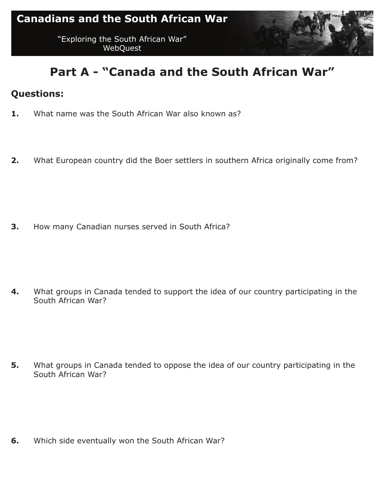

# **Part A - "Canada and the South African War"**

#### **Questions:**

- **1.** What name was the South African War also known as?
- **2.** What European country did the Boer settlers in southern Africa originally come from?

**3.** How many Canadian nurses served in South Africa?

**4.** What groups in Canada tended to support the idea of our country participating in the South African War?

**5.** What groups in Canada tended to oppose the idea of our country participating in the South African War?

**6.** Which side eventually won the South African War?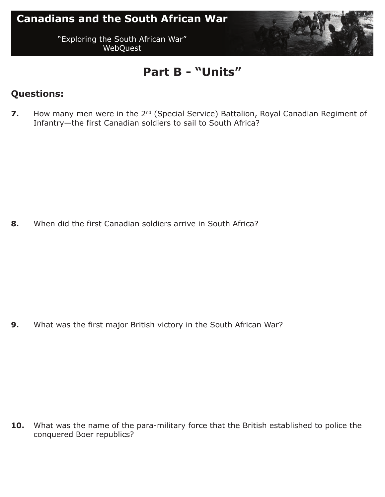

### **Part B - "Units"**

#### **Questions:**

**7.** How many men were in the 2<sup>nd</sup> (Special Service) Battalion, Royal Canadian Regiment of Infantry—the first Canadian soldiers to sail to South Africa?

**8.** When did the first Canadian soldiers arrive in South Africa?

**9.** What was the first major British victory in the South African War?

**10.** What was the name of the para-military force that the British established to police the conquered Boer republics?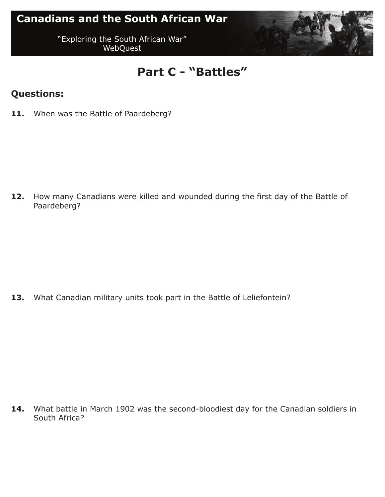### **Canadians and the South African War**

"Exploring the South African War" WebQuest



### **Part C - "Battles"**

#### **Questions:**

11. When was the Battle of Paardeberg?

**12.** How many Canadians were killed and wounded during the first day of the Battle of Paardeberg?

13. What Canadian military units took part in the Battle of Leliefontein?

**14.** What battle in March 1902 was the second-bloodiest day for the Canadian soldiers in South Africa?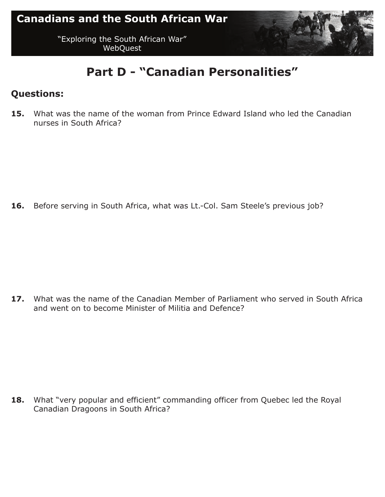

## **Part D - "Canadian Personalities"**

#### **Questions:**

**15.** What was the name of the woman from Prince Edward Island who led the Canadian nurses in South Africa?

**16.** Before serving in South Africa, what was Lt.-Col. Sam Steele's previous job?

**17.** What was the name of the Canadian Member of Parliament who served in South Africa and went on to become Minister of Militia and Defence?

**18.** What "very popular and efficient" commanding officer from Quebec led the Royal Canadian Dragoons in South Africa?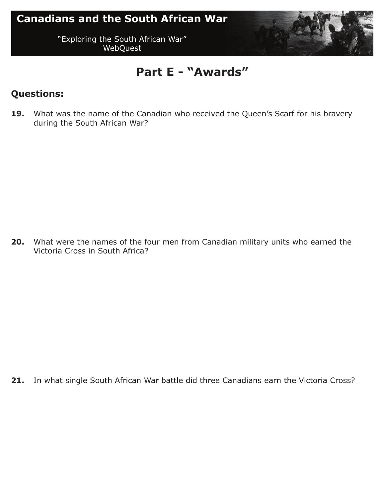

### **Part E - "Awards"**

#### **Questions:**

**19.** What was the name of the Canadian who received the Queen's Scarf for his bravery during the South African War?

**20.** What were the names of the four men from Canadian military units who earned the Victoria Cross in South Africa?

**21.** In what single South African War battle did three Canadians earn the Victoria Cross?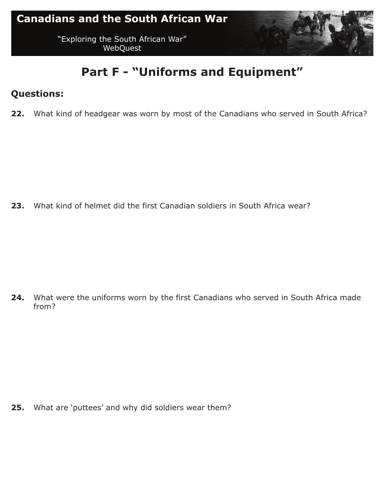

# **Part F - "Uniforms and Equipment"**

#### **Questions:**

**22.** What kind of headgear was worn by most of the Canadians who served in South Africa?

**23.** What kind of helmet did the first Canadian soldiers in South Africa wear?

**24.** What were the uniforms worn by the first Canadians who served in South Africa made from?

**25.** What are 'puttees' and why did soldiers wear them?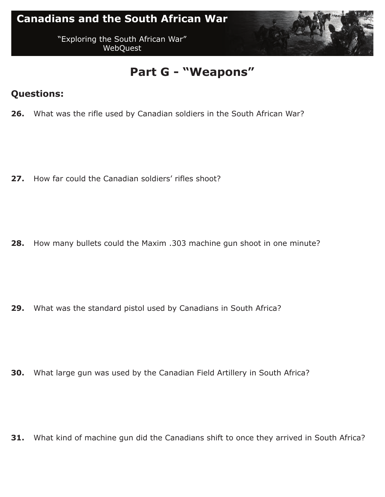### **Canadians and the South African War**

"Exploring the South African War" WebQuest



### **Part G - "Weapons"**

#### **Questions:**

**26.** What was the rifle used by Canadian soldiers in the South African War?

**27.** How far could the Canadian soldiers' rifles shoot?

**28.** How many bullets could the Maxim .303 machine gun shoot in one minute?

**29.** What was the standard pistol used by Canadians in South Africa?

**30.** What large gun was used by the Canadian Field Artillery in South Africa?

**31.** What kind of machine gun did the Canadians shift to once they arrived in South Africa?